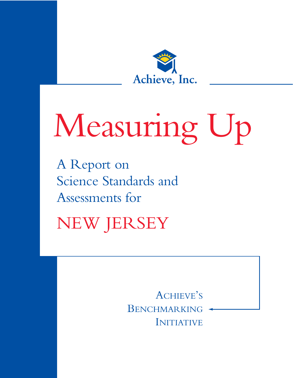

# Measuring Up

A Report on Science Standards and Assessments for

NEW JERSEY

ACHIEVE'S BENCHMARKING INITIATIVE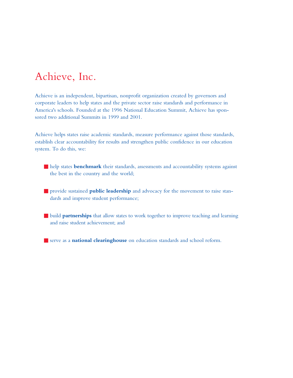# Achieve, Inc.

Achieve is an independent, bipartisan, nonprofit organization created by governors and corporate leaders to help states and the private sector raise standards and performance in America's schools. Founded at the 1996 National Education Summit, Achieve has sponsored two additional Summits in 1999 and 2001.

Achieve helps states raise academic standards, measure performance against those standards, establish clear accountability for results and strengthen public confidence in our education system. To do this, we:

- **E** help states **benchmark** their standards, assessments and accountability systems against the best in the country and the world;
- provide sustained **public leadership** and advocacy for the movement to raise standards and improve student performance;
- build **partnerships** that allow states to work together to improve teaching and learning and raise student achievement; and
- serve as a **national clearinghouse** on education standards and school reform.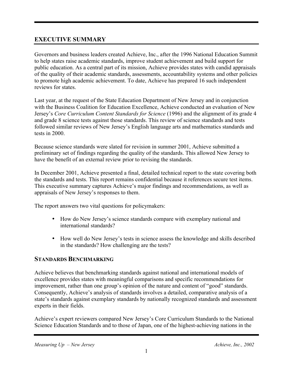# **EXECUTIVE SUMMARY**

Governors and business leaders created Achieve, Inc., after the 1996 National Education Summit to help states raise academic standards, improve student achievement and build support for public education. As a central part of its mission, Achieve provides states with candid appraisals of the quality of their academic standards, assessments, accountability systems and other policies to promote high academic achievement. To date, Achieve has prepared 16 such independent reviews for states.

Last year, at the request of the State Education Department of New Jersey and in conjunction with the Business Coalition for Education Excellence, Achieve conducted an evaluation of New Jersey's *Core Curriculum Content Standards for Science* (1996) and the alignment of its grade 4 and grade 8 science tests against those standards. This review of science standards and tests followed similar reviews of New Jersey's English language arts and mathematics standards and tests in 2000.

Because science standards were slated for revision in summer 2001, Achieve submitted a preliminary set of findings regarding the quality of the standards. This allowed New Jersey to have the benefit of an external review prior to revising the standards.

In December 2001, Achieve presented a final, detailed technical report to the state covering both the standards and tests. This report remains confidential because it references secure test items. This executive summary captures Achieve's major findings and recommendations, as well as appraisals of New Jersey's responses to them.

The report answers two vital questions for policymakers:

- How do New Jersey's science standards compare with exemplary national and international standards?
- How well do New Jersey's tests in science assess the knowledge and skills described in the standards? How challenging are the tests?

# **STANDARDS BENCHMARKING**

Achieve believes that benchmarking standards against national and international models of excellence provides states with meaningful comparisons and specific recommendations for improvement, rather than one group's opinion of the nature and content of "good" standards. Consequently, Achieve's analysis of standards involves a detailed, comparative analysis of a state's standards against exemplary standards by nationally recognized standards and assessment experts in their fields.

Achieve's expert reviewers compared New Jersey's Core Curriculum Standards to the National Science Education Standards and to those of Japan, one of the highest-achieving nations in the

*Measuring Up – New Jersey* Achieve, Inc., 2002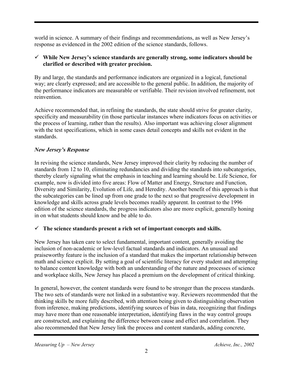world in science. A summary of their findings and recommendations, as well as New Jersey's response as evidenced in the 2002 edition of the science standards, follows.

#### 9 **While New Jersey's science standards are generally strong, some indicators should be clarified or described with greater precision.**

By and large, the standards and performance indicators are organized in a logical, functional way; are clearly expressed; and are accessible to the general public. In addition, the majority of the performance indicators are measurable or verifiable. Their revision involved refinement, not reinvention.

Achieve recommended that, in refining the standards, the state should strive for greater clarity, specificity and measurability (in those particular instances where indicators focus on activities or the process of learning, rather than the results). Also important was achieving closer alignment with the test specifications, which in some cases detail concepts and skills not evident in the standards.

#### *New Jersey's Response*

In revising the science standards, New Jersey improved their clarity by reducing the number of standards from 12 to 10, eliminating redundancies and dividing the standards into subcategories, thereby clearly signaling what the emphasis in teaching and learning should be. Life Science, for example, now is divided into five areas: Flow of Matter and Energy, Structure and Function, Diversity and Similarity, Evolution of Life, and Heredity. Another benefit of this approach is that the subcategories can be lined up from one grade to the next so that progressive development in knowledge and skills across grade levels becomes readily apparent. In contrast to the 1996 edition of the science standards, the progress indicators also are more explicit, generally honing in on what students should know and be able to do.

# $\checkmark$  The science standards present a rich set of important concepts and skills.

New Jersey has taken care to select fundamental, important content, generally avoiding the inclusion of non-academic or low-level factual standards and indicators. An unusual and praiseworthy feature is the inclusion of a standard that makes the important relationship between math and science explicit. By setting a goal of scientific literacy for every student and attempting to balance content knowledge with both an understanding of the nature and processes of science and workplace skills, New Jersey has placed a premium on the development of critical thinking.

In general, however, the content standards were found to be stronger than the process standards. The two sets of standards were not linked in a substantive way. Reviewers recommended that the thinking skills be more fully described, with attention being given to distinguishing observation from inference, making predictions, identifying sources of bias in data, recognizing that findings may have more than one reasonable interpretation, identifying flaws in the way control groups are constructed, and explaining the difference between cause and effect and correlation. They also recommended that New Jersey link the process and content standards, adding concrete,

*Measuring Up – New Jersey* Achieve, Inc., 2002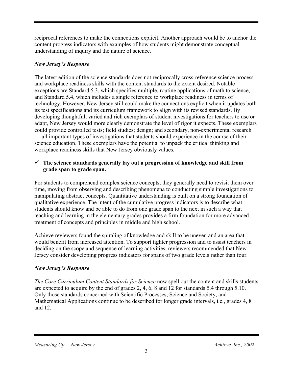reciprocal references to make the connections explicit. Another approach would be to anchor the content progress indicators with examples of how students might demonstrate conceptual understanding of inquiry and the nature of science.

#### *New Jersey's Response*

The latest edition of the science standards does not reciprocally cross-reference science process and workplace readiness skills with the content standards to the extent desired. Notable exceptions are Standard 5.3, which specifies multiple, routine applications of math to science, and Standard 5.4, which includes a single reference to workplace readiness in terms of technology. However, New Jersey still could make the connections explicit when it updates both its test specifications and its curriculum framework to align with its revised standards. By developing thoughtful, varied and rich exemplars of student investigations for teachers to use or adapt, New Jersey would more clearly demonstrate the level of rigor it expects. These exemplars could provide controlled tests; field studies; design; and secondary, non-experimental research — all important types of investigations that students should experience in the course of their science education. These exemplars have the potential to unpack the critical thinking and workplace readiness skills that New Jersey obviously values.

#### $\checkmark$  The science standards generally lay out a progression of knowledge and skill from **grade span to grade span.**

For students to comprehend complex science concepts, they generally need to revisit them over time, moving from observing and describing phenomena to conducting simple investigations to manipulating abstract concepts. Quantitative understanding is built on a strong foundation of qualitative experience. The intent of the cumulative progress indicators is to describe what students should know and be able to do from one grade span to the next in such a way that teaching and learning in the elementary grades provides a firm foundation for more advanced treatment of concepts and principles in middle and high school.

Achieve reviewers found the spiraling of knowledge and skill to be uneven and an area that would benefit from increased attention. To support tighter progression and to assist teachers in deciding on the scope and sequence of learning activities, reviewers recommended that New Jersey consider developing progress indicators for spans of two grade levels rather than four.

#### *New Jersey's Response*

*The Core Curriculum Content Standards for Science* now spell out the content and skills students are expected to acquire by the end of grades 2, 4, 6, 8 and 12 for standards 5.4 through 5.10. Only those standards concerned with Scientific Processes, Science and Society, and Mathematical Applications continue to be described for longer grade intervals, i.e., grades 4, 8 and 12.

#### *Measuring Up – New Jersey* Achieve, Inc., 2002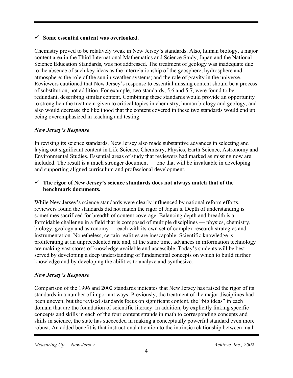#### 9 **Some essential content was overlooked.**

Chemistry proved to be relatively weak in New Jersey's standards. Also, human biology, a major content area in the Third International Mathematics and Science Study, Japan and the National Science Education Standards, was not addressed. The treatment of geology was inadequate due to the absence of such key ideas as the interrelationship of the geosphere, hydrosphere and atmosphere; the role of the sun in weather systems; and the role of gravity in the universe. Reviewers cautioned that New Jersey's response to essential missing content should be a process of substitution, not addition. For example, two standards, 5.6 and 5.7, were found to be redundant, describing similar content. Combining these standards would provide an opportunity to strengthen the treatment given to critical topics in chemistry, human biology and geology, and also would decrease the likelihood that the content covered in these two standards would end up being overemphasized in teaching and testing.

# *New Jersey's Response*

In revising its science standards, New Jersey also made substantive advances in selecting and laying out significant content in Life Science, Chemistry, Physics, Earth Science, Astronomy and Environmental Studies. Essential areas of study that reviewers had marked as missing now are included. The result is a much stronger document — one that will be invaluable in developing and supporting aligned curriculum and professional development.

#### $\checkmark$  The rigor of New Jersey's science standards does not always match that of the **benchmark documents.**

While New Jersey's science standards were clearly influenced by national reform efforts, reviewers found the standards did not match the rigor of Japan's. Depth of understanding is sometimes sacrificed for breadth of content coverage. Balancing depth and breadth is a formidable challenge in a field that is composed of multiple disciplines — physics, chemistry, biology, geology and astronomy — each with its own set of complex research strategies and instrumentation. Nonetheless, certain realities are inescapable: Scientific knowledge is proliferating at an unprecedented rate and, at the same time, advances in information technology are making vast stores of knowledge available and accessible. Today's students will be best served by developing a deep understanding of fundamental concepts on which to build further knowledge and by developing the abilities to analyze and synthesize.

# *New Jersey's Response*

Comparison of the 1996 and 2002 standards indicates that New Jersey has raised the rigor of its standards in a number of important ways. Previously, the treatment of the major disciplines had been uneven, but the revised standards focus on significant content, the "big ideas" in each domain that are the foundation of scientific literacy. In addition, by explicitly linking specific concepts and skills in each of the four content strands in math to corresponding concepts and skills in science, the state has succeeded in making a conceptually powerful standard even more robust. An added benefit is that instructional attention to the intrinsic relationship between math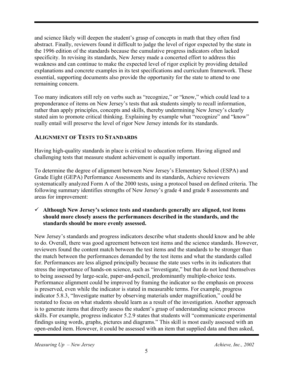and science likely will deepen the student's grasp of concepts in math that they often find abstract. Finally, reviewers found it difficult to judge the level of rigor expected by the state in the 1996 edition of the standards because the cumulative progress indicators often lacked specificity. In revising its standards, New Jersey made a concerted effort to address this weakness and can continue to make the expected level of rigor explicit by providing detailed explanations and concrete examples in its test specifications and curriculum framework. These essential, supporting documents also provide the opportunity for the state to attend to one remaining concern.

Too many indicators still rely on verbs such as "recognize," or "know," which could lead to a preponderance of items on New Jersey's tests that ask students simply to recall information, rather than apply principles, concepts and skills, thereby undermining New Jersey's clearly stated aim to promote critical thinking. Explaining by example what "recognize" and "know" really entail will preserve the level of rigor New Jersey intends for its standards.

# **ALIGNMENT OF TESTS TO STANDARDS**

Having high-quality standards in place is critical to education reform. Having aligned and challenging tests that measure student achievement is equally important.

To determine the degree of alignment between New Jersey's Elementary School (ESPA) and Grade Eight (GEPA) Performance Assessments and its standards, Achieve reviewers systematically analyzed Form A of the 2000 tests, using a protocol based on defined criteria. The following summary identifies strengths of New Jersey's grade 4 and grade 8 assessments and areas for improvement:

#### 9 **Although New Jersey's science tests and standards generally are aligned, test items should more closely assess the performances described in the standards, and the standards should be more evenly assessed.**

New Jersey's standards and progress indicators describe what students should know and be able to do. Overall, there was good agreement between test items and the science standards. However, reviewers found the content match between the test items and the standards to be stronger than the match between the performances demanded by the test items and what the standards called for. Performances are less aligned principally because the state uses verbs in its indicators that stress the importance of hands-on science, such as "investigate," but that do not lend themselves to being assessed by large-scale, paper-and-pencil, predominantly multiple-choice tests. Performance alignment could be improved by framing the indicator so the emphasis on process is preserved, even while the indicator is stated in measurable terms. For example, progress indicator 5.8.3, "Investigate matter by observing materials under magnification," could be restated to focus on what students should learn as a result of the investigation. Another approach is to generate items that directly assess the student's grasp of understanding science process skills. For example, progress indicator 5.2.9 states that students will "communicate experimental findings using words, graphs, pictures and diagrams." This skill is most easily assessed with an open-ended item. However, it could be assessed with an item that supplied data and then asked,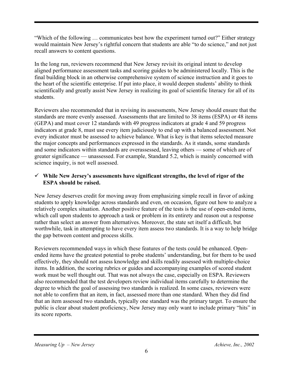"Which of the following … communicates best how the experiment turned out?" Either strategy would maintain New Jersey's rightful concern that students are able "to do science," and not just recall answers to content questions.

In the long run, reviewers recommend that New Jersey revisit its original intent to develop aligned performance assessment tasks and scoring guides to be administered locally. This is the final building block in an otherwise comprehensive system of science instruction and it goes to the heart of the scientific enterprise. If put into place, it would deepen students' ability to think scientifically and greatly assist New Jersey in realizing its goal of scientific literacy for all of its students.

Reviewers also recommended that in revising its assessments, New Jersey should ensure that the standards are more evenly assessed. Assessments that are limited to 38 items (ESPA) or 48 items (GEPA) and must cover 12 standards with 49 progress indicators at grade 4 and 59 progress indicators at grade 8, must use every item judiciously to end up with a balanced assessment. Not every indicator must be assessed to achieve balance. What is key is that items selected measure the major concepts and performances expressed in the standards. As it stands, some standards and some indicators within standards are overassessed, leaving others — some of which are of greater significance — unassessed. For example, Standard 5.2, which is mainly concerned with science inquiry, is not well assessed.

#### 9 **While New Jersey's assessments have significant strengths, the level of rigor of the ESPA should be raised.**

New Jersey deserves credit for moving away from emphasizing simple recall in favor of asking students to apply knowledge across standards and even, on occasion, figure out how to analyze a relatively complex situation. Another positive feature of the tests is the use of open-ended items, which call upon students to approach a task or problem in its entirety and reason out a response rather than select an answer from alternatives. Moreover, the state set itself a difficult, but worthwhile, task in attempting to have every item assess two standards. It is a way to help bridge the gap between content and process skills.

Reviewers recommended ways in which these features of the tests could be enhanced. Openended items have the greatest potential to probe students' understanding, but for them to be used effectively, they should not assess knowledge and skills readily assessed with multiple-choice items. In addition, the scoring rubrics or guides and accompanying examples of scored student work must be well thought out. That was not always the case, especially on ESPA. Reviewers also recommended that the test developers review individual items carefully to determine the degree to which the goal of assessing two standards is realized. In some cases, reviewers were not able to confirm that an item, in fact, assessed more than one standard. When they did find that an item assessed two standards, typically one standard was the primary target. To ensure the public is clear about student proficiency, New Jersey may only want to include primary "hits" in its score reports.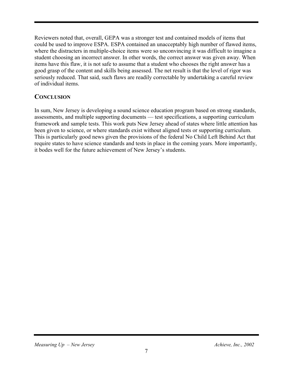Reviewers noted that, overall, GEPA was a stronger test and contained models of items that could be used to improve ESPA. ESPA contained an unacceptably high number of flawed items, where the distracters in multiple-choice items were so unconvincing it was difficult to imagine a student choosing an incorrect answer. In other words, the correct answer was given away. When items have this flaw, it is not safe to assume that a student who chooses the right answer has a good grasp of the content and skills being assessed. The net result is that the level of rigor was seriously reduced. That said, such flaws are readily correctable by undertaking a careful review of individual items.

#### **CONCLUSION**

In sum, New Jersey is developing a sound science education program based on strong standards, assessments, and multiple supporting documents — test specifications, a supporting curriculum framework and sample tests. This work puts New Jersey ahead of states where little attention has been given to science, or where standards exist without aligned tests or supporting curriculum. This is particularly good news given the provisions of the federal No Child Left Behind Act that require states to have science standards and tests in place in the coming years. More importantly, it bodes well for the future achievement of New Jersey's students.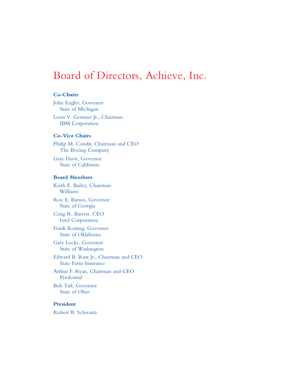# Board of Directors, Achieve, Inc.

#### **Co-Chairs**

John Engler, Governor State of Michigan

Louis V. Gerstner Jr., Chairman IBM Corporation

#### **Co-Vice Chairs**

Philip M. Condit, Chairman and CEO The Boeing Company

Gray Davis, Governor State of California

#### **Board Members**

Keith E. Bailey, Chairman Williams

Roy E. Barnes, Governor State of Georgia

Craig R. Barrett, CEO Intel Corporation

Frank Keating, Governor State of Oklahoma

Gary Locke, Governor State of Washington

Edward B. Rust Jr., Chairman and CEO State Farm Insurance

Arthur F. Ryan, Chairman and CEO Prudential

Bob Taft, Governor State of Ohio

#### **President**

Robert B. Schwartz